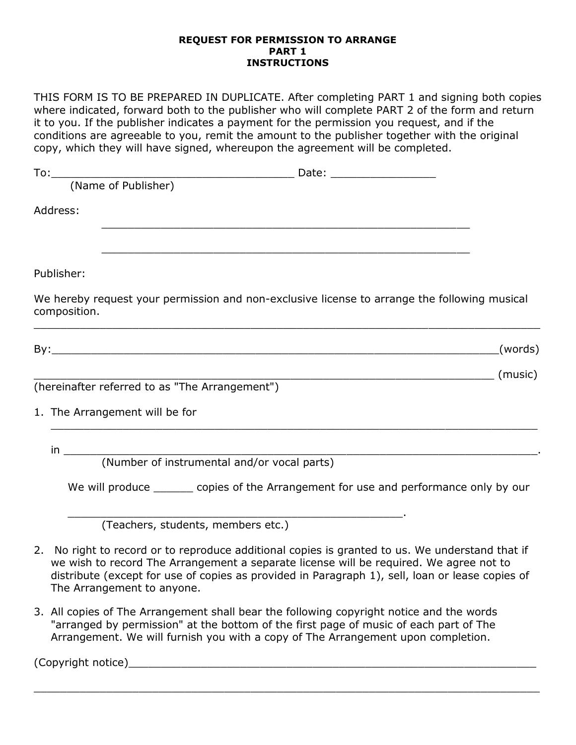## **REQUEST FOR PERMISSION TO ARRANGE PART 1 INSTRUCTIONS**

THIS FORM IS TO BE PREPARED IN DUPLICATE. After completing PART 1 and signing both copies where indicated, forward both to the publisher who will complete PART 2 of the form and return it to you. If the publisher indicates a payment for the permission you request, and if the conditions are agreeable to you, remit the amount to the publisher together with the original copy, which they will have signed, whereupon the agreement will be completed.

| Address:                                                                                                                                                                                                                              |         |
|---------------------------------------------------------------------------------------------------------------------------------------------------------------------------------------------------------------------------------------|---------|
|                                                                                                                                                                                                                                       |         |
| <u> 1989 - Johann John Stone, market fan de Fryske kunsten it ferstjer fan de Fryske kunsten fan de Fryske kunste</u>                                                                                                                 |         |
| Publisher:                                                                                                                                                                                                                            |         |
| We hereby request your permission and non-exclusive license to arrange the following musical<br>composition.<br><u> 1989 - Johann Stoff, amerikan bestein besteht aus dem Berlingen aus dem Berlingen aus dem Berlingen aus der E</u> |         |
|                                                                                                                                                                                                                                       | (words) |
|                                                                                                                                                                                                                                       |         |
| (hereinafter referred to as "The Arrangement")                                                                                                                                                                                        |         |
| 1. The Arrangement will be for                                                                                                                                                                                                        |         |
|                                                                                                                                                                                                                                       |         |
|                                                                                                                                                                                                                                       |         |
| We will produce _______ copies of the Arrangement for use and performance only by our                                                                                                                                                 |         |
| (Teachers, students, members etc.)                                                                                                                                                                                                    |         |
| 2. No right to record or to reproduce additional copies is granted to us. We understand that if                                                                                                                                       |         |

we wish to record The Arrangement a separate license will be required. We agree not to distribute (except for use of copies as provided in Paragraph 1), sell, loan or lease copies of The Arrangement to anyone.

 $\_$  , and the contribution of the contribution of the contribution of the contribution of the contribution of  $\mathcal{L}_\mathcal{A}$ 

3. All copies of The Arrangement shall bear the following copyright notice and the words "arranged by permission" at the bottom of the first page of music of each part of The Arrangement. We will furnish you with a copy of The Arrangement upon completion.

(Copyright notice)\_\_\_\_\_\_\_\_\_\_\_\_\_\_\_\_\_\_\_\_\_\_\_\_\_\_\_\_\_\_\_\_\_\_\_\_\_\_\_\_\_\_\_\_\_\_\_\_\_\_\_\_\_\_\_\_\_\_\_\_\_\_